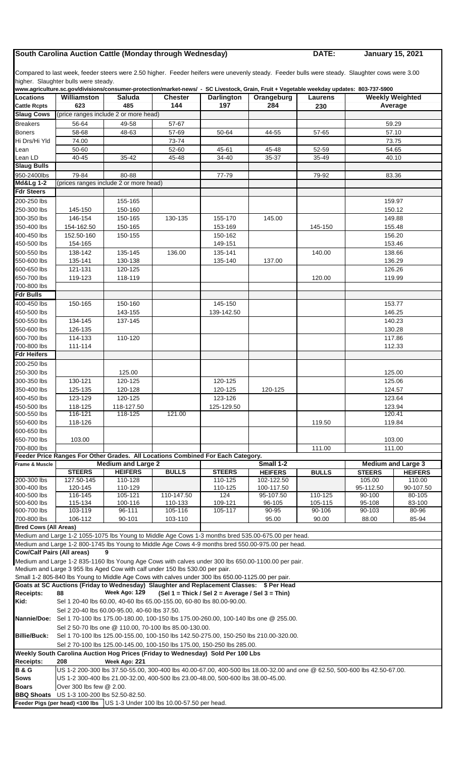## **South Carolina Auction Cattle (Monday through Wednesday) DATE:**

**January 15, 2021**

Compared to last week, feeder steers were 2.50 higher. Feeder heifers were unevenly steady. Feeder bulls were steady. Slaughter cows were 3.00 higher. Slaughter bulls were steady.

|                                   | www.agriculture.sc.gov/divisions/consumer-protection/market-news/ - SC Livestock, Grain, Fruit + Vegetable weekday updates: 803-737-5900                                                                        |                                               |                                                                       |                                                    |                                                                                                     |               |                           |           |  |  |  |
|-----------------------------------|-----------------------------------------------------------------------------------------------------------------------------------------------------------------------------------------------------------------|-----------------------------------------------|-----------------------------------------------------------------------|----------------------------------------------------|-----------------------------------------------------------------------------------------------------|---------------|---------------------------|-----------|--|--|--|
| <b>Locations</b>                  | Williamston                                                                                                                                                                                                     | <b>Saluda</b>                                 | <b>Chester</b>                                                        | <b>Darlington</b>                                  | Orangeburg                                                                                          | Laurens       | <b>Weekly Weighted</b>    |           |  |  |  |
| <b>Cattle Rcpts</b>               | 623                                                                                                                                                                                                             | 485                                           | 144                                                                   | 197                                                | 284                                                                                                 | 230           |                           | Average   |  |  |  |
| <b>Slaug Cows</b>                 |                                                                                                                                                                                                                 | (price ranges include 2 or more head)         |                                                                       |                                                    |                                                                                                     |               |                           |           |  |  |  |
| <b>Breakers</b>                   | 56-64                                                                                                                                                                                                           | 49-58                                         | 57-67                                                                 |                                                    |                                                                                                     |               |                           | 59.29     |  |  |  |
| <b>Boners</b>                     | 58-68                                                                                                                                                                                                           | 48-63                                         | 57-69                                                                 | 50-64                                              | 44-55                                                                                               | 57-65         |                           | 57.10     |  |  |  |
| Hi Drs/Hi Yld                     | 74.00                                                                                                                                                                                                           |                                               | 73-74                                                                 |                                                    |                                                                                                     |               |                           | 73.75     |  |  |  |
| Lean                              | 50-60                                                                                                                                                                                                           |                                               | 52-60                                                                 | 45-61                                              | 45-48                                                                                               | 52-59         |                           | 54.65     |  |  |  |
| Lean LD                           | 40-45                                                                                                                                                                                                           | 35 42                                         | 45-48                                                                 | 34-40                                              | 35-37                                                                                               | 35-49         |                           | 40.10     |  |  |  |
| <b>Slaug Bulls</b>                |                                                                                                                                                                                                                 |                                               |                                                                       |                                                    |                                                                                                     |               |                           |           |  |  |  |
| 950-2400lbs                       | 79-84                                                                                                                                                                                                           | 80-88                                         |                                                                       | 77-79                                              |                                                                                                     | 79-92         |                           | 83.36     |  |  |  |
| <b>Md&amp;Lg 1-2</b>              |                                                                                                                                                                                                                 | (prices ranges include 2 or more head)        |                                                                       |                                                    |                                                                                                     |               |                           |           |  |  |  |
| <b>Fdr Steers</b>                 |                                                                                                                                                                                                                 |                                               |                                                                       |                                                    |                                                                                                     |               |                           |           |  |  |  |
| 200-250 lbs                       |                                                                                                                                                                                                                 | 155-165                                       |                                                                       |                                                    |                                                                                                     |               |                           | 159.97    |  |  |  |
| 250-300 lbs                       | 145-150                                                                                                                                                                                                         | 150-160                                       |                                                                       |                                                    |                                                                                                     |               | 150.12                    |           |  |  |  |
| 300-350 lbs                       | 146-154                                                                                                                                                                                                         | 150-165                                       | 130-135                                                               | 155-170                                            | 145.00                                                                                              |               | 149.88                    |           |  |  |  |
| 350-400 lbs                       |                                                                                                                                                                                                                 |                                               |                                                                       |                                                    |                                                                                                     |               |                           |           |  |  |  |
|                                   | 154-162.50                                                                                                                                                                                                      | 150-165<br>150-155                            |                                                                       | 153-169                                            |                                                                                                     | 145-150       | 155.48                    |           |  |  |  |
| 400-450 lbs                       | 152.50-160                                                                                                                                                                                                      |                                               |                                                                       | 150-162                                            |                                                                                                     |               | 156.20                    |           |  |  |  |
| 450-500 lbs                       | 154-165                                                                                                                                                                                                         |                                               |                                                                       | 149-151                                            |                                                                                                     |               | 153.46                    |           |  |  |  |
| 500-550 lbs                       | 138-142                                                                                                                                                                                                         | 135-145                                       | 136.00                                                                | 135-141                                            |                                                                                                     | 140.00        | 138.66<br>136.29          |           |  |  |  |
| 550-600 lbs                       | 135-141                                                                                                                                                                                                         | 130-138                                       |                                                                       | 135-140                                            | 137.00                                                                                              |               |                           |           |  |  |  |
| 600-650 lbs                       | 121-131                                                                                                                                                                                                         | 120-125                                       |                                                                       |                                                    |                                                                                                     |               |                           | 126.26    |  |  |  |
| 650-700 lbs                       | 119-123                                                                                                                                                                                                         | 118-119                                       |                                                                       |                                                    |                                                                                                     | 120.00        |                           | 119.99    |  |  |  |
| 700-800 lbs                       |                                                                                                                                                                                                                 |                                               |                                                                       |                                                    |                                                                                                     |               |                           |           |  |  |  |
| <b>Fdr Bulls</b>                  |                                                                                                                                                                                                                 |                                               |                                                                       |                                                    |                                                                                                     |               |                           |           |  |  |  |
| 400-450 lbs                       | 150-165                                                                                                                                                                                                         | 150-160                                       |                                                                       | 145-150                                            |                                                                                                     |               |                           | 153.77    |  |  |  |
| 450-500 lbs                       |                                                                                                                                                                                                                 | 143-155                                       |                                                                       | 139-142.50                                         |                                                                                                     |               | 146.25                    |           |  |  |  |
| 500-550 lbs                       | 134-145                                                                                                                                                                                                         | 137-145                                       |                                                                       |                                                    |                                                                                                     |               | 140.23                    |           |  |  |  |
| 550-600 lbs                       | 126-135                                                                                                                                                                                                         |                                               |                                                                       |                                                    |                                                                                                     |               | 130.28                    |           |  |  |  |
| 600-700 lbs                       | 114-133                                                                                                                                                                                                         | 110-120                                       |                                                                       |                                                    |                                                                                                     |               | 117.86                    |           |  |  |  |
| 700-800 lbs                       | 111-114                                                                                                                                                                                                         |                                               |                                                                       |                                                    |                                                                                                     |               | 112.33                    |           |  |  |  |
| <b>Fdr Heifers</b>                |                                                                                                                                                                                                                 |                                               |                                                                       |                                                    |                                                                                                     |               |                           |           |  |  |  |
| 200-250 lbs                       |                                                                                                                                                                                                                 |                                               |                                                                       |                                                    |                                                                                                     |               |                           |           |  |  |  |
| 250-300 lbs                       |                                                                                                                                                                                                                 | 125.00                                        |                                                                       |                                                    |                                                                                                     |               |                           | 125.00    |  |  |  |
| 300-350 lbs                       | 130-121                                                                                                                                                                                                         | 120-125                                       |                                                                       | 120-125                                            |                                                                                                     |               | 125.06                    |           |  |  |  |
| 350-400 lbs                       | 125-135                                                                                                                                                                                                         | 120-128                                       |                                                                       | 120-125                                            | 120-125                                                                                             |               | 124.57                    |           |  |  |  |
| 400-450 lbs                       | 123-129                                                                                                                                                                                                         | 120-125                                       |                                                                       | 123-126                                            |                                                                                                     |               | 123.64                    |           |  |  |  |
| 450-500 lbs                       | 118-125                                                                                                                                                                                                         | 118-127.50                                    |                                                                       | 125-129.50                                         |                                                                                                     |               | 123.94                    |           |  |  |  |
| 500-550 lbs                       | 116-121                                                                                                                                                                                                         | 118-125                                       | 121.00                                                                |                                                    |                                                                                                     |               | 120.41                    |           |  |  |  |
| 550-600 lbs                       | 118-126                                                                                                                                                                                                         |                                               |                                                                       |                                                    |                                                                                                     | 119.50        | 119.84                    |           |  |  |  |
| 600-650 lbs                       |                                                                                                                                                                                                                 |                                               |                                                                       |                                                    |                                                                                                     |               |                           |           |  |  |  |
| 650-700 lbs                       | 103.00                                                                                                                                                                                                          |                                               |                                                                       |                                                    |                                                                                                     |               |                           | 103.00    |  |  |  |
| 700-800 lbs                       |                                                                                                                                                                                                                 |                                               |                                                                       |                                                    |                                                                                                     |               |                           | 111.00    |  |  |  |
|                                   | Feeder Price Ranges For Other Grades. All Locations Combined For Each Category.                                                                                                                                 |                                               |                                                                       |                                                    |                                                                                                     | 111.00        |                           |           |  |  |  |
| Frame & Muscle                    |                                                                                                                                                                                                                 | <b>Medium and Large 2</b>                     |                                                                       |                                                    | Small 1-2                                                                                           |               | <b>Medium and Large 3</b> |           |  |  |  |
|                                   | <b>STEERS</b>                                                                                                                                                                                                   | <b>HEIFERS</b>                                | <b>BULLS</b>                                                          | <b>STEERS</b><br><b>HEIFERS</b><br><b>BULLS</b>    |                                                                                                     | <b>STEERS</b> | <b>HEIFERS</b>            |           |  |  |  |
| 200-300 lbs                       | 127.50-145                                                                                                                                                                                                      | 110-128                                       |                                                                       | 110-125                                            | 102-122.50                                                                                          |               | 105.00                    | 110.00    |  |  |  |
| 300-400 lbs                       | 120-145                                                                                                                                                                                                         | 110-129                                       |                                                                       | 110-125                                            | 100-117.50                                                                                          |               | 95-112.50                 | 90-107.50 |  |  |  |
| 400-500 lbs                       | 116-145                                                                                                                                                                                                         | 105-121                                       | 110-147.50                                                            | 124                                                | 95-107.50                                                                                           | 110-125       | 90-100                    | 80-105    |  |  |  |
| 500-600 lbs                       | 115-134                                                                                                                                                                                                         | 100-116                                       | 110-133                                                               | 109-121                                            | 96-105                                                                                              | 105-115       | 95-108                    | 83-100    |  |  |  |
| 600-700 lbs                       | 103-119                                                                                                                                                                                                         | 96-111                                        | 105-116                                                               | 105-117                                            | 90-95                                                                                               | 90-106        | 90-103                    | 80-96     |  |  |  |
| 700-800 lbs                       | 106-112                                                                                                                                                                                                         | 90-101                                        | 103-110                                                               |                                                    | 95.00                                                                                               | 90.00         | 88.00                     | 85-94     |  |  |  |
| <b>Bred Cows (All Areas)</b>      |                                                                                                                                                                                                                 |                                               |                                                                       |                                                    |                                                                                                     |               |                           |           |  |  |  |
|                                   |                                                                                                                                                                                                                 |                                               |                                                                       |                                                    | Medium and Large 1-2 1055-1075 lbs Young to Middle Age Cows 1-3 months bred 535.00-675.00 per head. |               |                           |           |  |  |  |
|                                   |                                                                                                                                                                                                                 |                                               |                                                                       |                                                    | Medium and Large 1-2 800-1745 lbs Young to Middle Age Cows 4-9 months bred 550.00-975.00 per head.  |               |                           |           |  |  |  |
| <b>Cow/Calf Pairs (All areas)</b> |                                                                                                                                                                                                                 | 9                                             |                                                                       |                                                    |                                                                                                     |               |                           |           |  |  |  |
|                                   |                                                                                                                                                                                                                 |                                               |                                                                       |                                                    | Medium and Large 1-2 835-1160 lbs Young Age Cows with calves under 300 lbs 650.00-1100.00 per pair. |               |                           |           |  |  |  |
|                                   | Medium and Large 3 955 lbs Aged Cow with calf under 150 lbs 530.00 per pair.                                                                                                                                    |                                               |                                                                       |                                                    |                                                                                                     |               |                           |           |  |  |  |
|                                   | Small 1-2 805-840 lbs Young to Middle Age Cows with calves under 300 lbs 650.00-1125.00 per pair.                                                                                                               |                                               |                                                                       |                                                    |                                                                                                     |               |                           |           |  |  |  |
|                                   |                                                                                                                                                                                                                 |                                               |                                                                       |                                                    | Goats at SC Auctions (Friday to Wednesday) Slaughter and Replacement Classes: \$ Per Head           |               |                           |           |  |  |  |
| <b>Receipts:</b>                  | 88                                                                                                                                                                                                              | Week Ago: 129                                 |                                                                       | $(Sel 1 = Thick / Sel 2 = Average / Sel 3 = Thin)$ |                                                                                                     |               |                           |           |  |  |  |
| Kid:                              |                                                                                                                                                                                                                 |                                               | Sel 1 20-40 lbs 60.00, 40-60 lbs 65.00-155.00, 60-80 lbs 80.00-90.00. |                                                    |                                                                                                     |               |                           |           |  |  |  |
|                                   |                                                                                                                                                                                                                 | Sel 2 20-40 lbs 60.00-95.00, 40-60 lbs 37.50. |                                                                       |                                                    |                                                                                                     |               |                           |           |  |  |  |
| Nannie/Doe:                       |                                                                                                                                                                                                                 |                                               |                                                                       |                                                    | Sel 1 70-100 lbs 175.00-180.00, 100-150 lbs 175.00-260.00, 100-140 lbs one @ 255.00.                |               |                           |           |  |  |  |
|                                   |                                                                                                                                                                                                                 |                                               | Sel 2 50-70 lbs one @ 110.00, 70-100 lbs 85.00-130.00.                |                                                    |                                                                                                     |               |                           |           |  |  |  |
| <b>Billie/Buck:</b>               |                                                                                                                                                                                                                 |                                               |                                                                       |                                                    |                                                                                                     |               |                           |           |  |  |  |
|                                   | Sel 1 70-100 lbs 125.00-155.00, 100-150 lbs 142.50-275.00, 150-250 lbs 210.00-320.00.<br>Sel 2 70-100 lbs 125.00-145.00, 100-150 lbs 175.00, 150-250 lbs 285.00.                                                |                                               |                                                                       |                                                    |                                                                                                     |               |                           |           |  |  |  |
|                                   | Weekly South Carolina Auction Hog Prices (Friday to Wednesday) Sold Per 100 Lbs                                                                                                                                 |                                               |                                                                       |                                                    |                                                                                                     |               |                           |           |  |  |  |
| <b>Receipts:</b>                  | 208                                                                                                                                                                                                             | Week Ago: 221                                 |                                                                       |                                                    |                                                                                                     |               |                           |           |  |  |  |
| <b>B&amp;G</b>                    |                                                                                                                                                                                                                 |                                               |                                                                       |                                                    |                                                                                                     |               |                           |           |  |  |  |
| <b>Sows</b>                       | US 1-2 200-300 lbs 37.50-55.00, 300-400 lbs 40.00-67.00, 400-500 lbs 18.00-32.00 and one @ 62.50, 500-600 lbs 42.50-67.00.<br>US 1-2 300-400 lbs 21.00-32.00, 400-500 lbs 23.00-48.00, 500-600 lbs 38.00-45.00. |                                               |                                                                       |                                                    |                                                                                                     |               |                           |           |  |  |  |
| Boars                             | Over 300 lbs few @ 2.00.                                                                                                                                                                                        |                                               |                                                                       |                                                    |                                                                                                     |               |                           |           |  |  |  |
| <b>BBQ Shoats</b>                 | US 1-3 100-200 lbs 52.50-82.50.                                                                                                                                                                                 |                                               |                                                                       |                                                    |                                                                                                     |               |                           |           |  |  |  |
|                                   | Feeder Pigs (per head) <100 lbs US 1-3 Under 100 lbs 10.00-57.50 per head.                                                                                                                                      |                                               |                                                                       |                                                    |                                                                                                     |               |                           |           |  |  |  |
|                                   |                                                                                                                                                                                                                 |                                               |                                                                       |                                                    |                                                                                                     |               |                           |           |  |  |  |